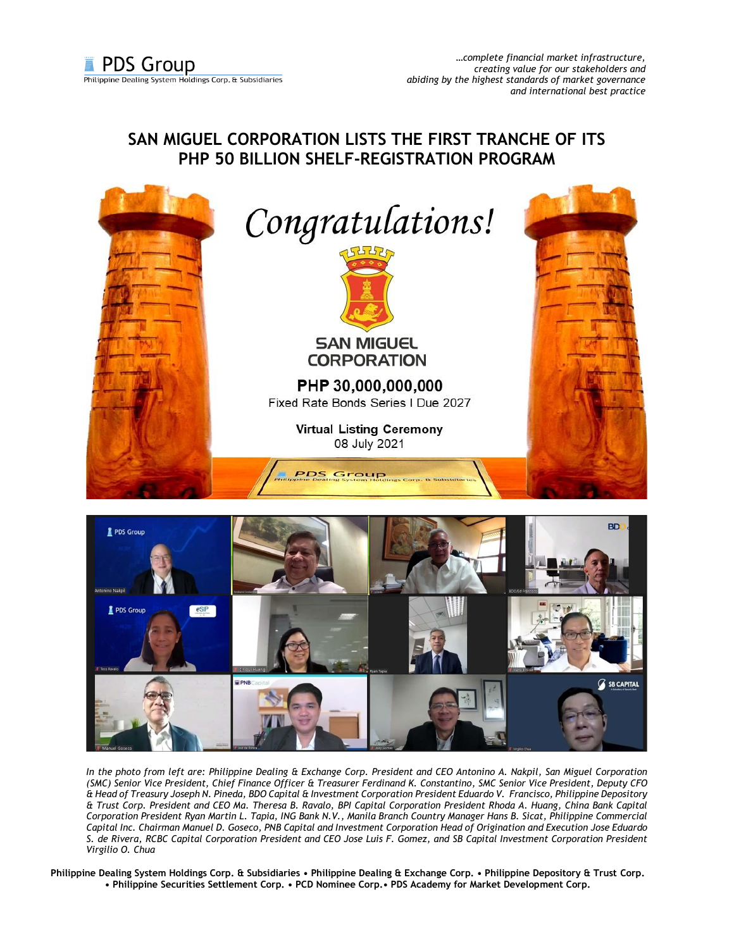## **SAN MIGUEL CORPORATION LISTS THE FIRST TRANCHE OF ITS PHP 50 BILLION SHELF-REGISTRATION PROGRAM**





*In the photo from left are: Philippine Dealing & Exchange Corp. President and CEO Antonino A. Nakpil, San Miguel Corporation (SMC) Senior Vice President, Chief Finance Officer & Treasurer Ferdinand K. Constantino, SMC Senior Vice President, Deputy CFO & Head of Treasury Joseph N. Pineda, BDO Capital & Investment Corporation President Eduardo V. Francisco, Philippine Depository & Trust Corp. President and CEO Ma. Theresa B. Ravalo, BPI Capital Corporation President Rhoda A. Huang, China Bank Capital Corporation President Ryan Martin L. Tapia, ING Bank N.V., Manila Branch Country Manager Hans B. Sicat, Philippine Commercial Capital Inc. Chairman Manuel D. Goseco, PNB Capital and Investment Corporation Head of Origination and Execution Jose Eduardo S. de Rivera, RCBC Capital Corporation President and CEO Jose Luis F. Gomez, and SB Capital Investment Corporation President Virgilio O. Chua*

**Philippine Dealing System Holdings Corp. & Subsidiaries • Philippine Dealing & Exchange Corp. • Philippine Depository & Trust Corp. • Philippine Securities Settlement Corp. • PCD Nominee Corp.• PDS Academy for Market Development Corp.**